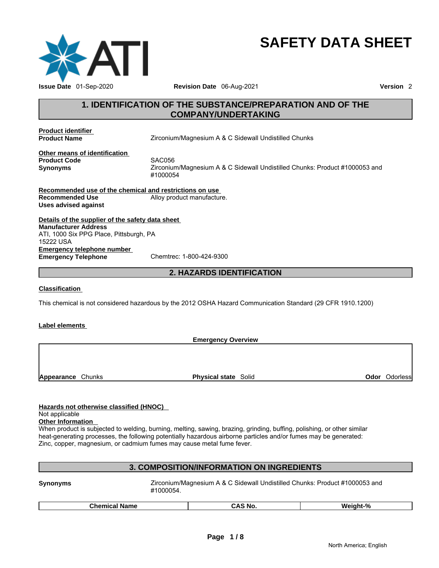

# **SAFETY DATA SHEET**

### **1. IDENTIFICATION OF THE SUBSTANCE/PREPARATION AND OF THE COMPANY/UNDERTAKING**

**Product identifier** 

**Product Name** *Zirconium/Magnesium A & C Sidewall Undistilled Chunks* 

**Other means of identification Product Code SAC056** 

**Synonyms** Zirconium/Magnesium A & C Sidewall Undistilled Chunks: Product #1000053 and #1000054

**Recommended use of the chemical and restrictions on use Recommended Use Alloy product manufacture. Uses advised against** 

**Details of the supplier of the safety data sheet Emergency telephone number Emergency Telephone Manufacturer Address** ATI, 1000 Six PPG Place, Pittsburgh, PA 15222 USA

**2. HAZARDS IDENTIFICATION** 

#### **Classification**

This chemical is not considered hazardous by the 2012 OSHA Hazard Communication Standard (29 CFR 1910.1200)

#### **Label elements**

**Emergency Overview Appearance** Chunks **Physical state** Solid **Odor** Odorless

#### **Hazards not otherwise classified (HNOC)**

#### Not applicable

**Other Information** 

When product is subjected to welding, burning, melting, sawing, brazing, grinding, buffing, polishing, or other similar heat-generating processes, the following potentially hazardous airborne particles and/or fumes may be generated: Zinc, copper, magnesium, or cadmium fumes may cause metal fume fever.

#### **3. COMPOSITION/INFORMATION ON INGREDIENTS**

**Synonyms** Zirconium/Magnesium A & C Sidewall Undistilled Chunks: Product #1000053 and #1000054.

|  | Chemical<br><b>Name</b> | .No<br>:АN | 01<br>Woinht.<br>,, |
|--|-------------------------|------------|---------------------|
|--|-------------------------|------------|---------------------|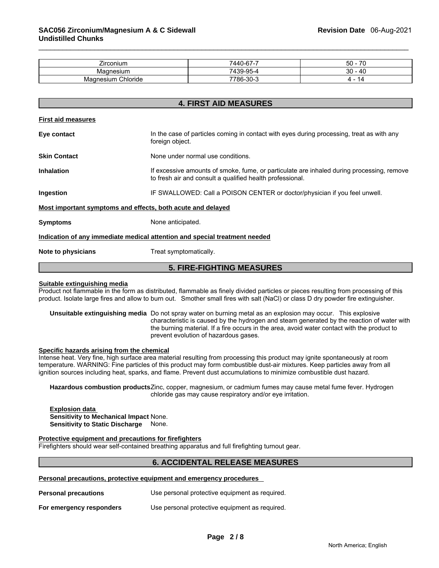| $- \cdot$<br>∠ırconıum     | $\rightarrow$<br>-<br>7440-67-7 | $\overline{\phantom{a}}$<br>$50 -$ |
|----------------------------|---------------------------------|------------------------------------|
| Magnesium                  | <b>OF</b><br>710c<br>439-90-4   | $\Lambda$ $\cap$<br>30             |
| Chloride<br>nesium<br>Madr | 7786-30-ა                       | 14                                 |

**4. FIRST AID MEASURES** 

| <b>First aid measures</b> |                                                                                                                                                        |  |
|---------------------------|--------------------------------------------------------------------------------------------------------------------------------------------------------|--|
| Eye contact               | In the case of particles coming in contact with eyes during processing, treat as with any<br>foreign object.                                           |  |
| <b>Skin Contact</b>       | None under normal use conditions.                                                                                                                      |  |
| <b>Inhalation</b>         | If excessive amounts of smoke, fume, or particulate are inhaled during processing, remove<br>to fresh air and consult a qualified health professional. |  |
| Ingestion                 | IF SWALLOWED: Call a POISON CENTER or doctor/physician if you feel unwell.                                                                             |  |
|                           | Most important symptoms and effects, both acute and delayed                                                                                            |  |
| <b>Symptoms</b>           | None anticipated.                                                                                                                                      |  |
|                           | Indication of any immediate medical attention and special treatment needed                                                                             |  |
| Note to physicians        | Treat symptomatically.                                                                                                                                 |  |
|                           |                                                                                                                                                        |  |

### **Suitable extinguishing media**

Product not flammable in the form as distributed, flammable as finely divided particles or pieces resulting from processing of this product. Isolate large fires and allow to burn out. Smother small fires with salt (NaCl) or class D dry powder fire extinguisher.

**5. FIRE-FIGHTING MEASURES** 

**Unsuitable extinguishing media** Do not spray water on burning metal as an explosion may occur. This explosive characteristic is caused by the hydrogen and steam generated by the reaction of water with the burning material. If a fire occurs in the area, avoid water contact with the product to prevent evolution of hazardous gases.

#### **Specific hazards arising from the chemical**

Intense heat. Very fine, high surface area material resulting from processing this product may ignite spontaneously at room temperature. WARNING: Fine particles of this product may form combustible dust-air mixtures. Keep particles away from all ignition sources including heat, sparks, and flame. Prevent dust accumulations to minimize combustible dust hazard.

**Hazardous combustion products** Zinc, copper, magnesium, or cadmium fumes may cause metal fume fever. Hydrogen chloride gas may cause respiratory and/or eye irritation.

**Explosion data Sensitivity to Mechanical Impact** None. **Sensitivity to Static Discharge** None.

#### **Protective equipment and precautions for firefighters**

Firefighters should wear self-contained breathing apparatus and full firefighting turnout gear.

### **6. ACCIDENTAL RELEASE MEASURES**

#### **Personal precautions, protective equipment and emergency procedures**

| <b>Personal precautions</b> | Use personal protective equipment as required. |
|-----------------------------|------------------------------------------------|
| For emergency responders    | Use personal protective equipment as required. |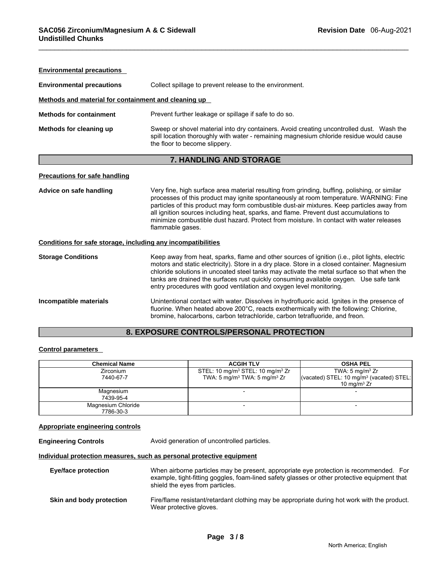| <b>Environmental precautions</b>                             |                                                                                                                                                                                                                                                                                                                                                                                                                                                                                              |  |  |
|--------------------------------------------------------------|----------------------------------------------------------------------------------------------------------------------------------------------------------------------------------------------------------------------------------------------------------------------------------------------------------------------------------------------------------------------------------------------------------------------------------------------------------------------------------------------|--|--|
| <b>Environmental precautions</b>                             | Collect spillage to prevent release to the environment.                                                                                                                                                                                                                                                                                                                                                                                                                                      |  |  |
| Methods and material for containment and cleaning up         |                                                                                                                                                                                                                                                                                                                                                                                                                                                                                              |  |  |
| <b>Methods for containment</b>                               | Prevent further leakage or spillage if safe to do so.                                                                                                                                                                                                                                                                                                                                                                                                                                        |  |  |
| Methods for cleaning up                                      | Sweep or shovel material into dry containers. Avoid creating uncontrolled dust. Wash the<br>spill location thoroughly with water - remaining magnesium chloride residue would cause<br>the floor to become slippery.                                                                                                                                                                                                                                                                         |  |  |
|                                                              | 7. HANDLING AND STORAGE                                                                                                                                                                                                                                                                                                                                                                                                                                                                      |  |  |
| <b>Precautions for safe handling</b>                         |                                                                                                                                                                                                                                                                                                                                                                                                                                                                                              |  |  |
| Advice on safe handling                                      | Very fine, high surface area material resulting from grinding, buffing, polishing, or similar<br>processes of this product may ignite spontaneously at room temperature. WARNING: Fine<br>particles of this product may form combustible dust-air mixtures. Keep particles away from<br>all ignition sources including heat, sparks, and flame. Prevent dust accumulations to<br>minimize combustible dust hazard. Protect from moisture, In contact with water releases<br>flammable gases. |  |  |
| Conditions for safe storage, including any incompatibilities |                                                                                                                                                                                                                                                                                                                                                                                                                                                                                              |  |  |
| <b>Storage Conditions</b>                                    | Keep away from heat, sparks, flame and other sources of ignition (i.e., pilot lights, electric<br>motors and static electricity). Store in a dry place. Store in a closed container. Magnesium<br>chloride solutions in uncoated steel tanks may activate the metal surface so that when the<br>tanks are drained the surfaces rust quickly consuming available oxygen. Use safe tank<br>entry procedures with good ventilation and oxygen level monitoring.                                 |  |  |
| Incompatible materials                                       | Unintentional contact with water. Dissolves in hydrofluoric acid. Ignites in the presence of<br>fluorine. When heated above 200°C, reacts exothermically with the following: Chlorine,<br>bromine, halocarbons, carbon tetrachloride, carbon tetrafluoride, and freon.                                                                                                                                                                                                                       |  |  |

## **8. EXPOSURE CONTROLS/PERSONAL PROTECTION**

#### **Control parameters**

| <b>Chemical Name</b> | <b>ACGIH TLV</b>                                         | <b>OSHA PEL</b>                                      |
|----------------------|----------------------------------------------------------|------------------------------------------------------|
| <b>Zirconium</b>     | STEL: 10 mg/m <sup>3</sup> STEL: 10 mg/m <sup>3</sup> Zr | TWA: 5 mg/m <sup>3</sup> $Zr$                        |
| 7440-67-7            | TWA: 5 mg/m <sup>3</sup> TWA: 5 mg/m <sup>3</sup> Zr     | (vacated) STEL: 10 mg/m <sup>3</sup> (vacated) STEL: |
|                      |                                                          | 10 mg/m $3 Zr$                                       |
| Magnesium            |                                                          |                                                      |
| 7439-95-4            |                                                          |                                                      |
| Magnesium Chloride   |                                                          |                                                      |
| 7786-30-3            |                                                          |                                                      |

#### **Appropriate engineering controls**

**Engineering Controls** Avoid generation of uncontrolled particles.

#### **Individual protection measures, such as personal protective equipment**

| <b>Eye/face protection</b> | When airborne particles may be present, appropriate eye protection is recommended. For<br>example, tight-fitting goggles, foam-lined safety glasses or other protective equipment that<br>shield the eyes from particles. |
|----------------------------|---------------------------------------------------------------------------------------------------------------------------------------------------------------------------------------------------------------------------|
| Skin and body protection   | Fire/flame resistant/retardant clothing may be appropriate during hot work with the product.<br>Wear protective gloves.                                                                                                   |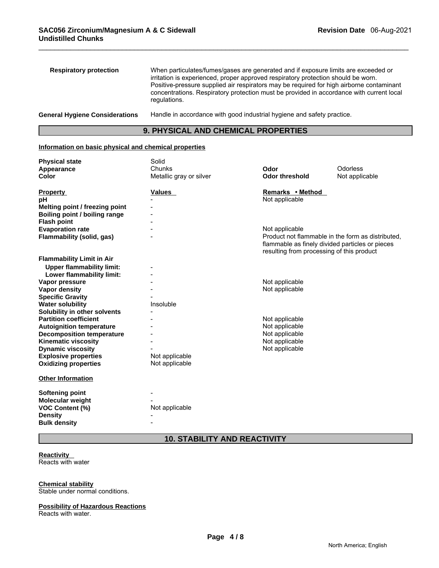| <b>Respiratory protection</b>         | When particulates/fumes/gases are generated and if exposure limits are exceeded or<br>irritation is experienced, proper approved respiratory protection should be worn.<br>Positive-pressure supplied air respirators may be required for high airborne contaminant<br>concentrations. Respiratory protection must be provided in accordance with current local<br>regulations. |
|---------------------------------------|---------------------------------------------------------------------------------------------------------------------------------------------------------------------------------------------------------------------------------------------------------------------------------------------------------------------------------------------------------------------------------|
| <b>General Hygiene Considerations</b> | Handle in accordance with good industrial hygiene and safety practice.                                                                                                                                                                                                                                                                                                          |

### **9. PHYSICAL AND CHEMICAL PROPERTIES**

### **Information on basic physical and chemical properties**

| <b>Physical state</b>            | Solid                   |                                                                                              |                                                   |
|----------------------------------|-------------------------|----------------------------------------------------------------------------------------------|---------------------------------------------------|
| Appearance                       | Chunks                  | Odor                                                                                         | Odorless                                          |
| <b>Color</b>                     | Metallic gray or silver | <b>Odor threshold</b>                                                                        | Not applicable                                    |
| <b>Property</b>                  | <b>Values</b>           | Remarks • Method                                                                             |                                                   |
| рH                               |                         | Not applicable                                                                               |                                                   |
| Melting point / freezing point   |                         |                                                                                              |                                                   |
| Boiling point / boiling range    |                         |                                                                                              |                                                   |
| <b>Flash point</b>               |                         |                                                                                              |                                                   |
| <b>Evaporation rate</b>          |                         | Not applicable                                                                               |                                                   |
| <b>Flammability (solid, gas)</b> |                         | flammable as finely divided particles or pieces<br>resulting from processing of this product | Product not flammable in the form as distributed. |
| <b>Flammability Limit in Air</b> |                         |                                                                                              |                                                   |
| <b>Upper flammability limit:</b> |                         |                                                                                              |                                                   |
| Lower flammability limit:        |                         |                                                                                              |                                                   |
| Vapor pressure                   |                         | Not applicable                                                                               |                                                   |
| <b>Vapor density</b>             |                         | Not applicable                                                                               |                                                   |
| <b>Specific Gravity</b>          |                         |                                                                                              |                                                   |
| <b>Water solubility</b>          | Insoluble               |                                                                                              |                                                   |
| Solubility in other solvents     |                         |                                                                                              |                                                   |
| <b>Partition coefficient</b>     |                         | Not applicable                                                                               |                                                   |
| <b>Autoignition temperature</b>  |                         | Not applicable                                                                               |                                                   |
| <b>Decomposition temperature</b> |                         | Not applicable                                                                               |                                                   |
| Kinematic viscosity              |                         | Not applicable                                                                               |                                                   |
| <b>Dynamic viscosity</b>         |                         | Not applicable                                                                               |                                                   |
| <b>Explosive properties</b>      | Not applicable          |                                                                                              |                                                   |
| <b>Oxidizing properties</b>      | Not applicable          |                                                                                              |                                                   |
| <b>Other Information</b>         |                         |                                                                                              |                                                   |
| <b>Softening point</b>           |                         |                                                                                              |                                                   |
| Molecular weight                 |                         |                                                                                              |                                                   |
| <b>VOC Content (%)</b>           | Not applicable          |                                                                                              |                                                   |
| <b>Density</b>                   |                         |                                                                                              |                                                   |
| <b>Bulk density</b>              |                         |                                                                                              |                                                   |
|                                  |                         |                                                                                              |                                                   |

### **10. STABILITY AND REACTIVITY**

## **Reactivity**

Reacts with water

#### **Chemical stability**

Stable under normal conditions.

#### **Possibility of Hazardous Reactions**

Reacts with water.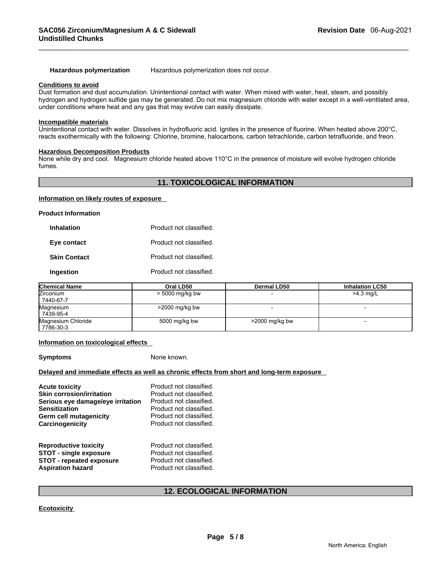**Hazardous polymerization** Hazardous polymerization does not occur.

#### **Conditions to avoid**

Dust formation and dust accumulation. Unintentional contact with water. When mixed with water, heat, steam, and possibly hydrogen and hydrogen sulfide gas may be generated. Do not mix magnesium chloride with water except in a well-ventilated area, under conditions where heat and any gas that may evolve can easily dissipate.

#### **Incompatible materials**

Unintentional contact with water. Dissolves in hydrofluoric acid. Ignites in the presence of fluorine. When heated above 200°C, reacts exothermically with the following: Chlorine, bromine, halocarbons, carbon tetrachloride, carbon tetrafluoride, and freon.

#### **Hazardous Decomposition Products**

None while dry and cool. Magnesium chloride heated above 110°C in the presence of moisture will evolve hydrogen chloride fumes.

### **11. TOXICOLOGICAL INFORMATION**

#### **Information on likely routes of exposure**

**Product Information** 

| <b>Inhalation</b>   | Product not classified. |
|---------------------|-------------------------|
| Eye contact         | Product not classified. |
| <b>Skin Contact</b> | Product not classified. |
| Ingestion           | Product not classified. |

| <b>Chemical Name</b> | Oral LD50         | <b>Dermal LD50</b> | <b>Inhalation LC50</b> |
|----------------------|-------------------|--------------------|------------------------|
| <b>Zirconium</b>     | $>$ 5000 mg/kg bw |                    | $>4.3$ mg/L            |
| 7440-67-7            |                   |                    |                        |
| Magnesium            | $>$ 2000 mg/kg bw |                    | -                      |
| 7439-95-4            |                   |                    |                        |
| Magnesium Chloride   | 5000 mg/kg bw     | $>$ 2000 mg/kg bw  |                        |
| 7786-30-3            |                   |                    |                        |

**Information on toxicological effects** 

**Symptoms** None known.

#### **Delayed and immediate effects as well as chronic effects from short and long-term exposure**

| <b>Acute toxicity</b>             | Product not classified. |
|-----------------------------------|-------------------------|
| <b>Skin corrosion/irritation</b>  | Product not classified. |
| Serious eye damage/eye irritation | Product not classified. |
| <b>Sensitization</b>              | Product not classified. |
| Germ cell mutagenicity            | Product not classified. |
| Carcinogenicity                   | Product not classified. |
| <b>Reproductive toxicity</b>      | Product not classified. |
| <b>STOT - single exposure</b>     | Product not classified. |
| <b>STOT - repeated exposure</b>   | Product not classified. |
| <b>Aspiration hazard</b>          | Product not classified. |

#### **12. ECOLOGICAL INFORMATION**

**Ecotoxicity**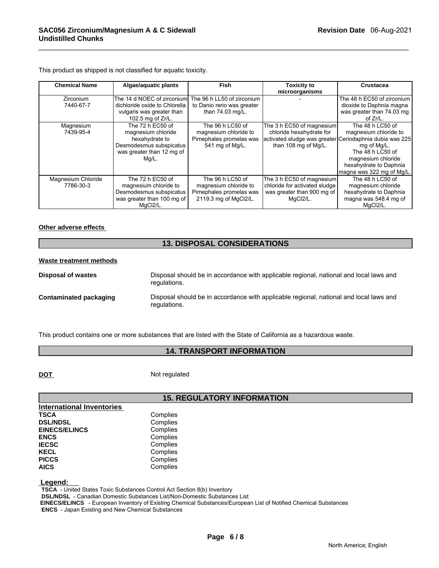| <b>Chemical Name</b>            | Algae/aquatic plants                                                                                                      | Fish                                                                                          | <b>Toxicity to</b><br>microorganisms                                                                                                     | Crustacea                                                                                                                                                 |
|---------------------------------|---------------------------------------------------------------------------------------------------------------------------|-----------------------------------------------------------------------------------------------|------------------------------------------------------------------------------------------------------------------------------------------|-----------------------------------------------------------------------------------------------------------------------------------------------------------|
| <b>Zirconium</b><br>7440-67-7   | The 14 d NOEC of zirconium<br>dichloride oxide to Chlorella<br>vulgaris was greater than<br>102.5 mg of Zr/L.             | The 96 h LL50 of zirconium<br>to Danio rerio was greater<br>than 74.03 mg/L.                  |                                                                                                                                          | The 48 h EC50 of zirconium<br>dioxide to Daphnia magna<br>was greater than 74.03 mg<br>of $Zr/L$ .                                                        |
| Magnesium<br>7439-95-4          | The 72 h EC50 of<br>magnesium chloride<br>hexahydrate to<br>Desmodesmus subspicatus<br>was greater than 12 mg of<br>Mg/L. | The 96 h LC50 of<br>magnesium chloride to<br>Pimephales promelas was<br>541 mg of Mg/L.       | The 3 h EC50 of magnesium<br>chloride hexahydrate for<br>activated sludge was greater Ceriodaphnia dubia was 225<br>than 108 mg of Mg/L. | The 48 h LC50 of<br>magnesium chloride to<br>mg of Mg/L.<br>The 48 h LC50 of<br>magnesium chloride<br>hexahydrate to Daphnia<br>magna was 322 mg of Mg/L. |
| Magnesium Chloride<br>7786-30-3 | The 72 h EC50 of<br>magnesium chloride to<br>Desmodesmus subspicatus<br>was greater than 100 mg of<br>MqCl2/L.            | The 96 h LC50 of<br>magnesium chloride to<br>Pimephales promelas was<br>2119.3 mg of MgCl2/L. | The 3 h EC50 of magnesium<br>chloride for activated sludge<br>was greater than 900 mg of<br>MqCl2/L.                                     | The 48 h LC50 of<br>magnesium chloride<br>hexahydrate to Daphnia<br>magna was 548.4 mg of<br>MgCl2/L.                                                     |

This product as shipped is not classified for aquatic toxicity.

#### **Other adverse effects**

### **13. DISPOSAL CONSIDERATIONS**

#### **Waste treatment methods**

**Disposal of wastes** Disposal should be in accordance with applicable regional, national and local laws and regulations. **Contaminated packaging** Disposal should be in accordance with applicable regional, national and local laws and regulations.

This product contains one or more substances that are listed with the State of California as a hazardous waste.

#### **14. TRANSPORT INFORMATION**

**DOT** Not regulated

### **15. REGULATORY INFORMATION**

| <b>International Inventories</b> |          |
|----------------------------------|----------|
| <b>TSCA</b>                      | Complies |
| <b>DSL/NDSL</b>                  | Complies |
| <b>EINECS/ELINCS</b>             | Complies |
| <b>ENCS</b>                      | Complies |
| <b>IECSC</b>                     | Complies |
| <b>KECL</b>                      | Complies |
| <b>PICCS</b>                     | Complies |
| <b>AICS</b>                      | Complies |

#### **Legend:**

 **TSCA** - United States Toxic Substances Control Act Section 8(b) Inventory

 **DSL/NDSL** - Canadian Domestic Substances List/Non-Domestic Substances List

 **EINECS/ELINCS** - European Inventory of Existing Chemical Substances/European List of Notified Chemical Substances

 **ENCS** - Japan Existing and New Chemical Substances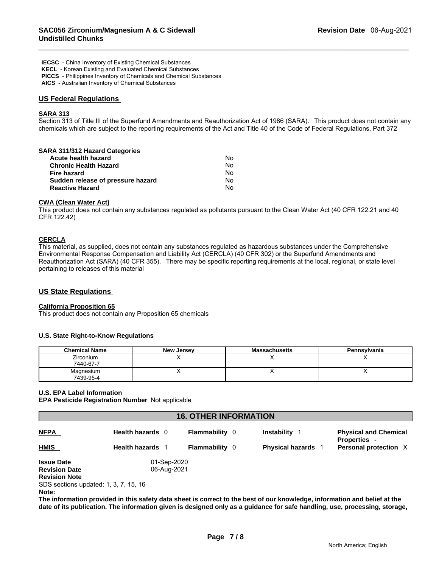**IECSC** - China Inventory of Existing Chemical Substances  **KECL** - Korean Existing and Evaluated Chemical Substances  **PICCS** - Philippines Inventory of Chemicals and Chemical Substances  **AICS** - Australian Inventory of Chemical Substances

#### **US Federal Regulations**

### **SARA 313**

Section 313 of Title III of the Superfund Amendments and Reauthorization Act of 1986 (SARA). This product does not contain any chemicals which are subject to the reporting requirements of the Act and Title 40 of the Code of Federal Regulations, Part 372

| SARA 311/312 Hazard Categories    |    |  |
|-----------------------------------|----|--|
| Acute health hazard               | No |  |
| <b>Chronic Health Hazard</b>      | No |  |
| Fire hazard                       | No |  |
| Sudden release of pressure hazard | No |  |
| <b>Reactive Hazard</b>            | No |  |
|                                   |    |  |

#### **CWA (Clean Water Act)**

This product does not contain any substances regulated as pollutants pursuant to the Clean Water Act (40 CFR 122.21 and 40 CFR 122.42)

### **CERCLA**

This material, as supplied, does not contain any substances regulated as hazardous substances under the Comprehensive Environmental Response Compensation and Liability Act (CERCLA) (40 CFR 302) or the Superfund Amendments and Reauthorization Act (SARA) (40 CFR 355). There may be specific reporting requirements at the local, regional, or state level pertaining to releases of this material

#### **US State Regulations**

#### **California Proposition 65**

This product does not contain any Proposition 65 chemicals

#### **U.S. State Right-to-Know Regulations**

| <b>Chemical Name</b>          | New Jersey | <b>Massachusetts</b> | Pennsylvania |
|-------------------------------|------------|----------------------|--------------|
| <b>Zirconium</b><br>7440-67-7 |            |                      |              |
| Magnesium<br>7439-95-4        |            |                      |              |

#### **U.S. EPA Label Information**

**EPA Pesticide Registration Number** Not applicable

| <b>16. OTHER INFORMATION</b>          |                         |                       |                           |                                                     |
|---------------------------------------|-------------------------|-----------------------|---------------------------|-----------------------------------------------------|
| <b>NFPA</b>                           | Health hazards 0        | <b>Flammability</b> 0 | Instability               | <b>Physical and Chemical</b><br><b>Properties -</b> |
| <b>HMIS</b>                           | <b>Health hazards</b> 1 | <b>Flammability 0</b> | <b>Physical hazards</b> 1 | Personal protection X                               |
| <b>Issue Date</b>                     | 01-Sep-2020             |                       |                           |                                                     |
| <b>Revision Date</b>                  | 06-Aug-2021             |                       |                           |                                                     |
| <b>Revision Note</b>                  |                         |                       |                           |                                                     |
| SDS sections updated: 1, 3, 7, 15, 16 |                         |                       |                           |                                                     |
| Note:                                 |                         |                       |                           |                                                     |

**The information provided in this safety data sheet is correct to the best of our knowledge, information and belief at the date of its publication. The information given is designed only as a guidance for safe handling, use, processing, storage,**